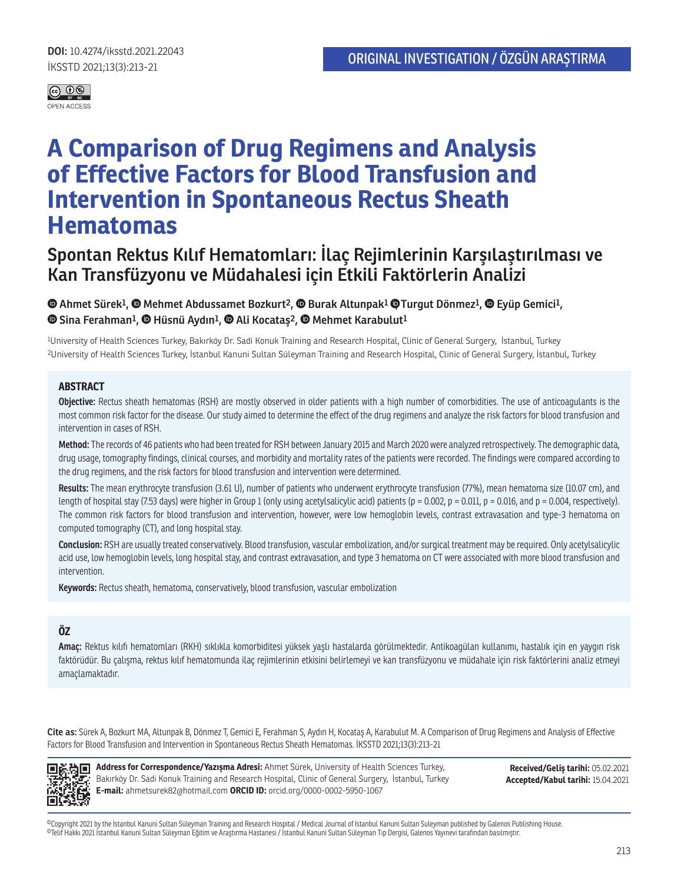

# **A Comparison of Drug Regimens and Analysis of Effective Factors for Blood Transfusion and Intervention in Spontaneous Rectus Sheath Hematomas**

# **Spontan Rektus Kılıf Hematomları: İlaç Rejimlerinin Karşılaştırılması ve Kan Transfüzyonu ve Müdahalesi için Etkili Faktörlerin Analizi**

#### **<sup>** $\bullet$ **</sup> Ahmet Sürek<sup>1</sup>[,](https://orcid.org/0000-0003-3095-2195)**  $\bullet$  **Mehmet Abdussamet Bozkurt<sup>2</sup>,**  $\bullet$  **Burak Altunpak<sup>1</sup>**  $\bullet$  **Turgut Dönmez<sup>1</sup>,**  $\bullet$  **Eyüp Gemici<sup>1</sup>, Sina Ferahman1,Hüsnü Aydın1, Ali Kocataş2, Mehmet Karabulut1**

1University of Health Sciences Turkey, Bakırköy Dr. Sadi Konuk Training and Research Hospital, Clinic of General Surgery, İstanbul, Turkey 2University of Health Sciences Turkey, İstanbul Kanuni Sultan Süleyman Training and Research Hospital, Clinic of General Surgery, İstanbul, Turkey

#### **ABSTRACT**

**Objective:** Rectus sheath hematomas (RSH) are mostly observed in older patients with a high number of comorbidities. The use of anticoagulants is the most common risk factor for the disease. Our study aimed to determine the effect of the drug regimens and analyze the risk factors for blood transfusion and intervention in cases of RSH.

**Method:** The records of 46 patients who had been treated for RSH between January 2015 and March 2020 were analyzed retrospectively. The demographic data, drug usage, tomography findings, clinical courses, and morbidity and mortality rates of the patients were recorded. The findings were compared according to the drug regimens, and the risk factors for blood transfusion and intervention were determined.

**Results:** The mean erythrocyte transfusion (3.61 U), number of patients who underwent erythrocyte transfusion (77%), mean hematoma size (10.07 cm), and length of hospital stay (7.53 days) were higher in Group 1 (only using acetylsalicylic acid) patients (p = 0.002, p = 0.011, p = 0.016, and p = 0.004, respectively). The common risk factors for blood transfusion and intervention, however, were low hemoglobin levels, contrast extravasation and type-3 hematoma on computed tomography (CT), and long hospital stay.

**Conclusion:** RSH are usually treated conservatively. Blood transfusion, vascular embolization, and/or surgical treatment may be required. Only acetylsalicylic acid use, low hemoglobin levels, long hospital stay, and contrast extravasation, and type 3 hematoma on CT were associated with more blood transfusion and intervention.

**Keywords:** Rectus sheath, hematoma, conservatively, blood transfusion, vascular embolization

#### **ÖZ**

**Amaç:** Rektus kılıfı hematomları (RKH) sıklıkla komorbiditesi yüksek yaşlı hastalarda görülmektedir. Antikoagülan kullanımı, hastalık için en yaygın risk faktörüdür. Bu çalışma, rektus kılıf hematomunda ilaç rejimlerinin etkisini belirlemeyi ve kan transfüzyonu ve müdahale için risk faktörlerini analiz etmeyi amaçlamaktadır.

**Cite as:** Sürek A, Bozkurt MA, Altunpak B, Dönmez T, Gemici E, Ferahman S, Aydın H, Kocataş A, Karabulut M. A Comparison of Drug Regimens and Analysis of Effective Factors for Blood Transfusion and Intervention in Spontaneous Rectus Sheath Hematomas. İKSSTD 2021;13(3):213-21



**Address for Correspondence/Yazışma Adresi:** Ahmet Sürek, University of Health Sciences Turkey, Bakırköy Dr. Sadi Konuk Training and Research Hospital, Clinic of General Surgery, İstanbul, Turkey **E-mail:** ahmetsurek82@hotmail.com **ORCID ID:** orcid.org/0000-0002-5950-1067

**Received/Geliş tarihi:** 05.02.2021 **Accepted/Kabul tarihi:** 15.04.2021

©Copyright 2021 by the İstanbul Kanuni Sultan Süleyman Training and Research Hospital / Medical Journal of Istanbul Kanuni Sultan Suleyman published by Galenos Publishing House. ©Telif Hakkı 2021 İstanbul Kanuni Sultan Süleyman Eğitim ve Araştırma Hastanesi / İstanbul Kanuni Sultan Süleyman Tıp Dergisi, Galenos Yayınevi tarafından basılmıştır.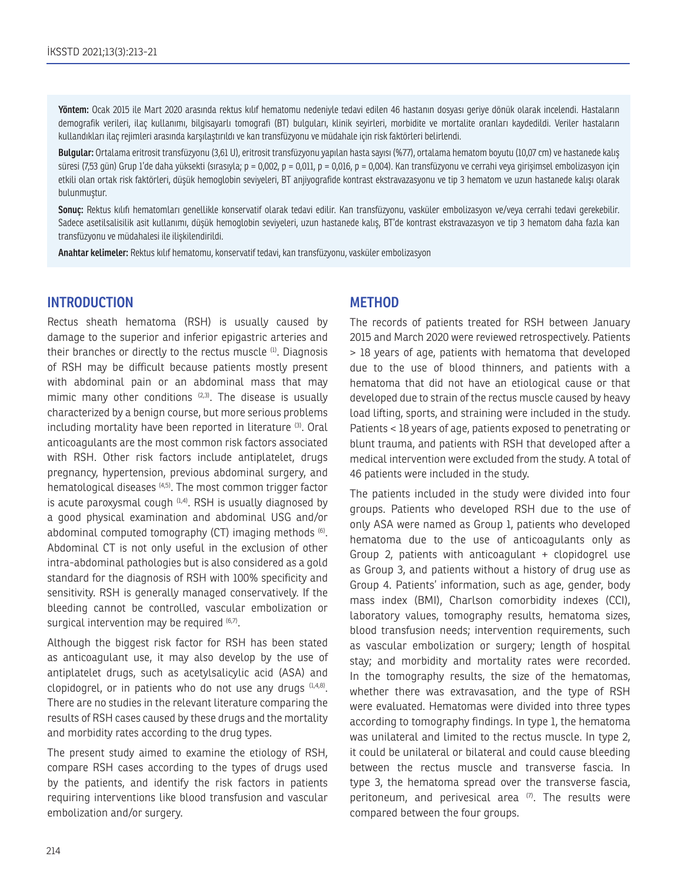**Yöntem:** Ocak 2015 ile Mart 2020 arasında rektus kılıf hematomu nedeniyle tedavi edilen 46 hastanın dosyası geriye dönük olarak incelendi. Hastaların demografik verileri, ilaç kullanımı, bilgisayarlı tomografi (BT) bulguları, klinik seyirleri, morbidite ve mortalite oranları kaydedildi. Veriler hastaların kullandıkları ilaç rejimleri arasında karşılaştırıldı ve kan transfüzyonu ve müdahale için risk faktörleri belirlendi.

**Bulgular:** Ortalama eritrosit transfüzyonu (3,61 U), eritrosit transfüzyonu yapılan hasta sayısı (%77), ortalama hematom boyutu (10,07 cm) ve hastanede kalış süresi (7,53 gün) Grup 1'de daha yüksekti (sırasıyla;  $p = 0,002$ ,  $p = 0,011$ ,  $p = 0,016$ ,  $p = 0,004$ ). Kan transfüzyonu ve cerrahi veya girişimsel embolizasyon için etkili olan ortak risk faktörleri, düşük hemoglobin seviyeleri, BT anjiyografide kontrast ekstravazasyonu ve tip 3 hematom ve uzun hastanede kalışı olarak bulunmuştur.

**Sonuç:** Rektus kılıfı hematomları genellikle konservatif olarak tedavi edilir. Kan transfüzyonu, vasküler embolizasyon ve/veya cerrahi tedavi gerekebilir. Sadece asetilsalisilik asit kullanımı, düşük hemoglobin seviyeleri, uzun hastanede kalış, BT'de kontrast ekstravazasyon ve tip 3 hematom daha fazla kan transfüzyonu ve müdahalesi ile ilişkilendirildi.

**Anahtar kelimeler:** Rektus kılıf hematomu, konservatif tedavi, kan transfüzyonu, vasküler embolizasyon

# **INTRODUCTION**

Rectus sheath hematoma (RSH) is usually caused by damage to the superior and inferior epigastric arteries and their branches or directly to the rectus muscle <sup>(1)</sup>. Diagnosis of RSH may be difficult because patients mostly present with abdominal pain or an abdominal mass that may mimic many other conditions  $(2,3)$ . The disease is usually characterized by a benign course, but more serious problems including mortality have been reported in literature (3). Oral anticoagulants are the most common risk factors associated with RSH. Other risk factors include antiplatelet, drugs pregnancy, hypertension, previous abdominal surgery, and hematological diseases (4,5). The most common trigger factor is acute paroxysmal cough  $(1,4)$ . RSH is usually diagnosed by a good physical examination and abdominal USG and/or abdominal computed tomography (CT) imaging methods (6). Abdominal CT is not only useful in the exclusion of other intra-abdominal pathologies but is also considered as a gold standard for the diagnosis of RSH with 100% specificity and sensitivity. RSH is generally managed conservatively. If the bleeding cannot be controlled, vascular embolization or surgical intervention may be required  $(6,7)$ .

Although the biggest risk factor for RSH has been stated as anticoagulant use, it may also develop by the use of antiplatelet drugs, such as acetylsalicylic acid (ASA) and clopidogrel, or in patients who do not use any drugs (1,4,8). There are no studies in the relevant literature comparing the results of RSH cases caused by these drugs and the mortality and morbidity rates according to the drug types.

The present study aimed to examine the etiology of RSH, compare RSH cases according to the types of drugs used by the patients, and identify the risk factors in patients requiring interventions like blood transfusion and vascular embolization and/or surgery.

# **METHOD**

The records of patients treated for RSH between January 2015 and March 2020 were reviewed retrospectively. Patients > 18 years of age, patients with hematoma that developed due to the use of blood thinners, and patients with a hematoma that did not have an etiological cause or that developed due to strain of the rectus muscle caused by heavy load lifting, sports, and straining were included in the study. Patients < 18 years of age, patients exposed to penetrating or blunt trauma, and patients with RSH that developed after a medical intervention were excluded from the study. A total of 46 patients were included in the study.

The patients included in the study were divided into four groups. Patients who developed RSH due to the use of only ASA were named as Group 1, patients who developed hematoma due to the use of anticoagulants only as Group 2, patients with anticoagulant + clopidogrel use as Group 3, and patients without a history of drug use as Group 4. Patients' information, such as age, gender, body mass index (BMI), Charlson comorbidity indexes (CCI), laboratory values, tomography results, hematoma sizes, blood transfusion needs; intervention requirements, such as vascular embolization or surgery; length of hospital stay; and morbidity and mortality rates were recorded. In the tomography results, the size of the hematomas, whether there was extravasation, and the type of RSH were evaluated. Hematomas were divided into three types according to tomography findings. In type 1, the hematoma was unilateral and limited to the rectus muscle. In type 2, it could be unilateral or bilateral and could cause bleeding between the rectus muscle and transverse fascia. In type 3, the hematoma spread over the transverse fascia, peritoneum, and perivesical area  $(7)$ . The results were compared between the four groups.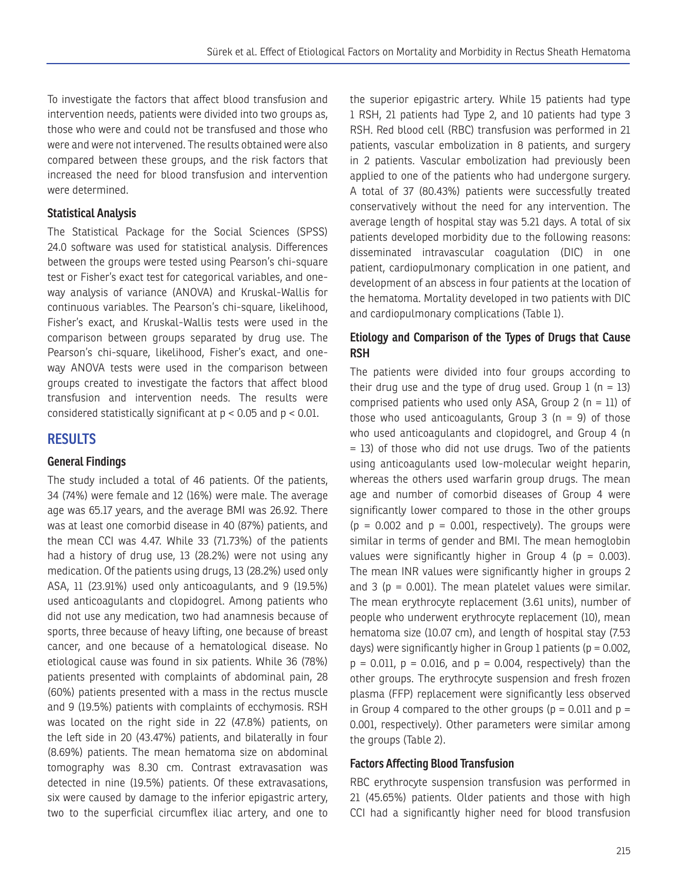To investigate the factors that affect blood transfusion and intervention needs, patients were divided into two groups as, those who were and could not be transfused and those who were and were not intervened. The results obtained were also compared between these groups, and the risk factors that increased the need for blood transfusion and intervention were determined.

## **Statistical Analysis**

The Statistical Package for the Social Sciences (SPSS) 24.0 software was used for statistical analysis. Differences between the groups were tested using Pearson's chi-square test or Fisher's exact test for categorical variables, and oneway analysis of variance (ANOVA) and Kruskal-Wallis for continuous variables. The Pearson's chi-square, likelihood, Fisher's exact, and Kruskal-Wallis tests were used in the comparison between groups separated by drug use. The Pearson's chi-square, likelihood, Fisher's exact, and oneway ANOVA tests were used in the comparison between groups created to investigate the factors that affect blood transfusion and intervention needs. The results were considered statistically significant at  $p < 0.05$  and  $p < 0.01$ .

# **RESULTS**

#### **General Findings**

The study included a total of 46 patients. Of the patients, 34 (74%) were female and 12 (16%) were male. The average age was 65.17 years, and the average BMI was 26.92. There was at least one comorbid disease in 40 (87%) patients, and the mean CCI was 4.47. While 33 (71.73%) of the patients had a history of drug use, 13 (28.2%) were not using any medication. Of the patients using drugs, 13 (28.2%) used only ASA, 11 (23.91%) used only anticoagulants, and 9 (19.5%) used anticoagulants and clopidogrel. Among patients who did not use any medication, two had anamnesis because of sports, three because of heavy lifting, one because of breast cancer, and one because of a hematological disease. No etiological cause was found in six patients. While 36 (78%) patients presented with complaints of abdominal pain, 28 (60%) patients presented with a mass in the rectus muscle and 9 (19.5%) patients with complaints of ecchymosis. RSH was located on the right side in 22 (47.8%) patients, on the left side in 20 (43.47%) patients, and bilaterally in four (8.69%) patients. The mean hematoma size on abdominal tomography was 8.30 cm. Contrast extravasation was detected in nine (19.5%) patients. Of these extravasations, six were caused by damage to the inferior epigastric artery, two to the superficial circumflex iliac artery, and one to

the superior epigastric artery. While 15 patients had type 1 RSH, 21 patients had Type 2, and 10 patients had type 3 RSH. Red blood cell (RBC) transfusion was performed in 21 patients, vascular embolization in 8 patients, and surgery in 2 patients. Vascular embolization had previously been applied to one of the patients who had undergone surgery. A total of 37 (80.43%) patients were successfully treated conservatively without the need for any intervention. The average length of hospital stay was 5.21 days. A total of six patients developed morbidity due to the following reasons: disseminated intravascular coagulation (DIC) in one patient, cardiopulmonary complication in one patient, and development of an abscess in four patients at the location of the hematoma. Mortality developed in two patients with DIC and cardiopulmonary complications (Table 1).

## **Etiology and Comparison of the Types of Drugs that Cause RSH**

The patients were divided into four groups according to their drug use and the type of drug used. Group  $1$  (n = 13) comprised patients who used only ASA, Group 2 ( $n = 11$ ) of those who used anticoagulants, Group  $3$  (n = 9) of those who used anticoagulants and clopidogrel, and Group 4 (n = 13) of those who did not use drugs. Two of the patients using anticoagulants used low-molecular weight heparin, whereas the others used warfarin group drugs. The mean age and number of comorbid diseases of Group 4 were significantly lower compared to those in the other groups  $(p = 0.002$  and  $p = 0.001$ , respectively). The groups were similar in terms of gender and BMI. The mean hemoglobin values were significantly higher in Group 4 ( $p = 0.003$ ). The mean INR values were significantly higher in groups 2 and 3 ( $p = 0.001$ ). The mean platelet values were similar. The mean erythrocyte replacement (3.61 units), number of people who underwent erythrocyte replacement (10), mean hematoma size (10.07 cm), and length of hospital stay (7.53 days) were significantly higher in Group 1 patients ( $p = 0.002$ ,  $p = 0.011$ ,  $p = 0.016$ , and  $p = 0.004$ , respectively) than the other groups. The erythrocyte suspension and fresh frozen plasma (FFP) replacement were significantly less observed in Group 4 compared to the other groups ( $p = 0.011$  and  $p =$ 0.001, respectively). Other parameters were similar among the groups (Table 2).

#### **Factors Affecting Blood Transfusion**

RBC erythrocyte suspension transfusion was performed in 21 (45.65%) patients. Older patients and those with high CCI had a significantly higher need for blood transfusion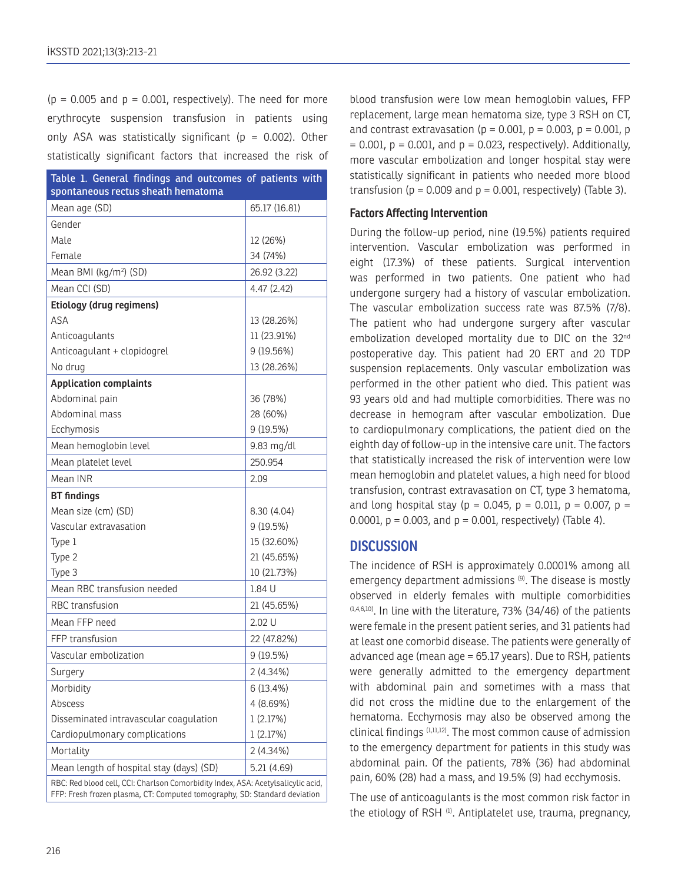$(p = 0.005$  and  $p = 0.001$ , respectively). The need for more erythrocyte suspension transfusion in patients using only ASA was statistically significant ( $p = 0.002$ ). Other statistically significant factors that increased the risk of

| Table 1. General findings and outcomes of patients with<br>spontaneous rectus sheath hematoma                                                                 |               |  |  |  |  |
|---------------------------------------------------------------------------------------------------------------------------------------------------------------|---------------|--|--|--|--|
| Mean age (SD)                                                                                                                                                 | 65.17 (16.81) |  |  |  |  |
| Gender                                                                                                                                                        |               |  |  |  |  |
| Male                                                                                                                                                          | 12 (26%)      |  |  |  |  |
| Female                                                                                                                                                        | 34 (74%)      |  |  |  |  |
| Mean BMI (kg/m <sup>2</sup> ) (SD)                                                                                                                            | 26.92 (3.22)  |  |  |  |  |
| Mean CCI (SD)                                                                                                                                                 | 4.47 (2.42)   |  |  |  |  |
| Etiology (drug regimens)                                                                                                                                      |               |  |  |  |  |
| <b>ASA</b>                                                                                                                                                    | 13 (28.26%)   |  |  |  |  |
| Anticoagulants                                                                                                                                                | 11 (23.91%)   |  |  |  |  |
| Anticoagulant + clopidogrel                                                                                                                                   | 9 (19.56%)    |  |  |  |  |
| No drug                                                                                                                                                       | 13 (28.26%)   |  |  |  |  |
| <b>Application complaints</b>                                                                                                                                 |               |  |  |  |  |
| Abdominal pain                                                                                                                                                | 36 (78%)      |  |  |  |  |
| Abdominal mass                                                                                                                                                | 28 (60%)      |  |  |  |  |
| Ecchymosis                                                                                                                                                    | 9 (19.5%)     |  |  |  |  |
| Mean hemoglobin level                                                                                                                                         | 9.83 mg/dl    |  |  |  |  |
| Mean platelet level                                                                                                                                           | 250.954       |  |  |  |  |
| Mean INR                                                                                                                                                      | 2.09          |  |  |  |  |
| <b>BT</b> findings                                                                                                                                            |               |  |  |  |  |
| Mean size (cm) (SD)                                                                                                                                           | 8.30 (4.04)   |  |  |  |  |
| Vascular extravasation                                                                                                                                        | 9 (19.5%)     |  |  |  |  |
| Type 1                                                                                                                                                        | 15 (32.60%)   |  |  |  |  |
| Type 2                                                                                                                                                        | 21 (45.65%)   |  |  |  |  |
| Type 3                                                                                                                                                        | 10 (21.73%)   |  |  |  |  |
| Mean RBC transfusion needed                                                                                                                                   | 1.84 U        |  |  |  |  |
| RBC transfusion                                                                                                                                               | 21 (45.65%)   |  |  |  |  |
| Mean FFP need                                                                                                                                                 | $2.02$ U      |  |  |  |  |
| FFP transfusion                                                                                                                                               | 22 (47.82%)   |  |  |  |  |
| Vascular embolization                                                                                                                                         | 9 (19.5%)     |  |  |  |  |
| Surgery                                                                                                                                                       | $2(4.34\%)$   |  |  |  |  |
| Morbidity                                                                                                                                                     | $6(13.4\%)$   |  |  |  |  |
| Abscess                                                                                                                                                       | 4 (8.69%)     |  |  |  |  |
| Disseminated intravascular coagulation                                                                                                                        | 1(2.17%)      |  |  |  |  |
| Cardiopulmonary complications                                                                                                                                 | 1(2.17%)      |  |  |  |  |
| Mortality                                                                                                                                                     | 2 (4.34%)     |  |  |  |  |
| Mean length of hospital stay (days) (SD)                                                                                                                      | 5.21 (4.69)   |  |  |  |  |
| RBC: Red blood cell, CCI: Charlson Comorbidity Index, ASA: Acetylsalicylic acid,<br>FFP: Fresh frozen plasma, CT: Computed tomography, SD: Standard deviation |               |  |  |  |  |

blood transfusion were low mean hemoglobin values, FFP replacement, large mean hematoma size, type 3 RSH on CT, and contrast extravasation ( $p = 0.001$ ,  $p = 0.003$ ,  $p = 0.001$ ,  $p = 0.001$  $= 0.001$ ,  $p = 0.001$ , and  $p = 0.023$ , respectively). Additionally, more vascular embolization and longer hospital stay were statistically significant in patients who needed more blood transfusion ( $p = 0.009$  and  $p = 0.001$ , respectively) (Table 3).

#### **Factors Affecting Intervention**

During the follow-up period, nine (19.5%) patients required intervention. Vascular embolization was performed in eight (17.3%) of these patients. Surgical intervention was performed in two patients. One patient who had undergone surgery had a history of vascular embolization. The vascular embolization success rate was 87.5% (7/8). The patient who had undergone surgery after vascular embolization developed mortality due to DIC on the 32<sup>nd</sup> postoperative day. This patient had 20 ERT and 20 TDP suspension replacements. Only vascular embolization was performed in the other patient who died. This patient was 93 years old and had multiple comorbidities. There was no decrease in hemogram after vascular embolization. Due to cardiopulmonary complications, the patient died on the eighth day of follow-up in the intensive care unit. The factors that statistically increased the risk of intervention were low mean hemoglobin and platelet values, a high need for blood transfusion, contrast extravasation on CT, type 3 hematoma, and long hospital stay ( $p = 0.045$ ,  $p = 0.011$ ,  $p = 0.007$ ,  $p =$ 0.0001,  $p = 0.003$ , and  $p = 0.001$ , respectively) (Table 4).

#### **DISCUSSION**

The incidence of RSH is approximately 0.0001% among all emergency department admissions (9). The disease is mostly observed in elderly females with multiple comorbidities  $(1,4,6,10)$ . In line with the literature, 73% (34/46) of the patients were female in the present patient series, and 31 patients had at least one comorbid disease. The patients were generally of advanced age (mean age = 65.17 years). Due to RSH, patients were generally admitted to the emergency department with abdominal pain and sometimes with a mass that did not cross the midline due to the enlargement of the hematoma. Ecchymosis may also be observed among the clinical findings (1,11,12). The most common cause of admission to the emergency department for patients in this study was abdominal pain. Of the patients, 78% (36) had abdominal pain, 60% (28) had a mass, and 19.5% (9) had ecchymosis.

The use of anticoagulants is the most common risk factor in the etiology of RSH<sup>(1)</sup>. Antiplatelet use, trauma, pregnancy,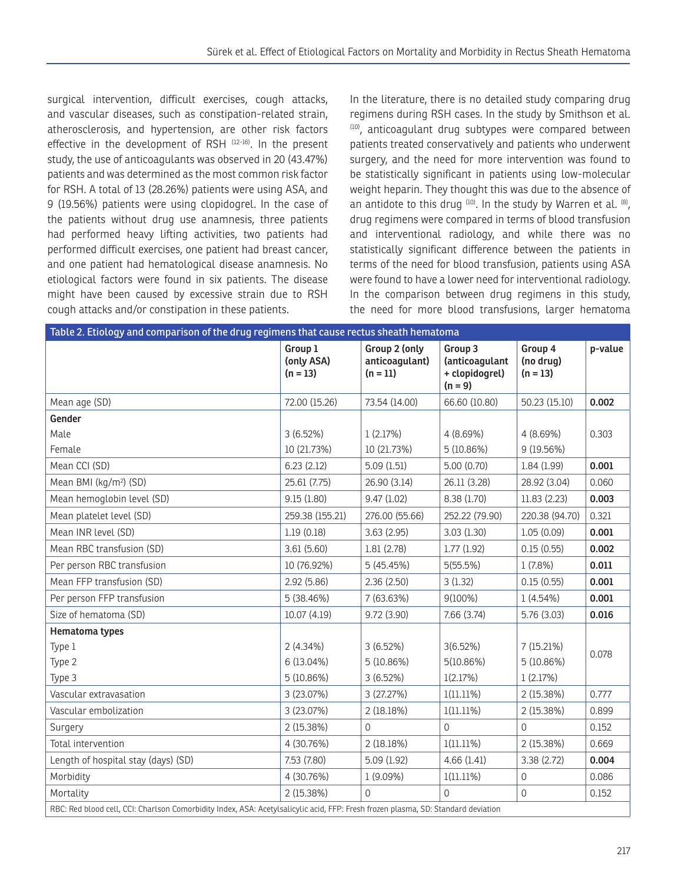surgical intervention, difficult exercises, cough attacks, and vascular diseases, such as constipation-related strain, atherosclerosis, and hypertension, are other risk factors effective in the development of RSH (12-16). In the present study, the use of anticoagulants was observed in 20 (43.47%) patients and was determined as the most common risk factor for RSH. A total of 13 (28.26%) patients were using ASA, and 9 (19.56%) patients were using clopidogrel. In the case of the patients without drug use anamnesis, three patients had performed heavy lifting activities, two patients had performed difficult exercises, one patient had breast cancer, and one patient had hematological disease anamnesis. No etiological factors were found in six patients. The disease might have been caused by excessive strain due to RSH cough attacks and/or constipation in these patients.

In the literature, there is no detailed study comparing drug regimens during RSH cases. In the study by Smithson et al. (10), anticoagulant drug subtypes were compared between patients treated conservatively and patients who underwent surgery, and the need for more intervention was found to be statistically significant in patients using low-molecular weight heparin. They thought this was due to the absence of an antidote to this drug  $(10)$ . In the study by Warren et al.  $(8)$ , drug regimens were compared in terms of blood transfusion and interventional radiology, and while there was no statistically significant difference between the patients in terms of the need for blood transfusion, patients using ASA were found to have a lower need for interventional radiology. In the comparison between drug regimens in this study, the need for more blood transfusions, larger hematoma

| Table 2. Etiology and comparison of the drug regimens that cause rectus sheath hematoma                                           |                                     |                                               |                                                          |                                    |         |  |  |
|-----------------------------------------------------------------------------------------------------------------------------------|-------------------------------------|-----------------------------------------------|----------------------------------------------------------|------------------------------------|---------|--|--|
|                                                                                                                                   | Group 1<br>(only ASA)<br>$(n = 13)$ | Group 2 (only<br>anticoagulant)<br>$(n = 11)$ | Group 3<br>(anticoagulant<br>+ clopidogrel)<br>$(n = 9)$ | Group 4<br>(no drug)<br>$(n = 13)$ | p-value |  |  |
| Mean age (SD)                                                                                                                     | 72.00 (15.26)                       | 73.54 (14.00)                                 | 66.60 (10.80)                                            | 50.23 (15.10)                      | 0.002   |  |  |
| Gender                                                                                                                            |                                     |                                               |                                                          |                                    |         |  |  |
| Male                                                                                                                              | 3(6.52%)                            | 1(2.17%)                                      | 4 (8.69%)                                                | 4 (8.69%)                          | 0.303   |  |  |
| Female                                                                                                                            | 10 (21.73%)                         | 10 (21.73%)                                   | 5(10.86%)                                                | 9(19.56%)                          |         |  |  |
| Mean CCI (SD)                                                                                                                     | 6.23(2.12)                          | 5.09(1.51)                                    | 5.00(0.70)                                               | 1.84(1.99)                         | 0.001   |  |  |
| Mean BMI (kg/m <sup>2</sup> ) (SD)                                                                                                | 25.61 (7.75)                        | 26.90 (3.14)                                  | 26.11 (3.28)                                             | 28.92 (3.04)                       | 0.060   |  |  |
| Mean hemoglobin level (SD)                                                                                                        | 9.15(1.80)                          | 9.47(1.02)                                    | 8.38 (1.70)                                              | 11.83 (2.23)                       | 0.003   |  |  |
| Mean platelet level (SD)                                                                                                          | 259.38 (155.21)                     | 276.00 (55.66)                                | 252.22 (79.90)                                           | 220.38 (94.70)                     | 0.321   |  |  |
| Mean INR level (SD)                                                                                                               | 1.19(0.18)                          | 3.63(2.95)                                    | 3.03(1.30)                                               | 1.05(0.09)                         | 0.001   |  |  |
| Mean RBC transfusion (SD)                                                                                                         | 3.61(5.60)                          | 1.81(2.78)                                    | 1.77(1.92)                                               | 0.15(0.55)                         | 0.002   |  |  |
| Per person RBC transfusion                                                                                                        | 10 (76.92%)                         | 5(45.45%)                                     | 5(55.5%)                                                 | $1(7.8\%)$                         | 0.011   |  |  |
| Mean FFP transfusion (SD)                                                                                                         | 2.92(5.86)                          | 2.36(2.50)                                    | 3(1.32)                                                  | 0.15(0.55)                         | 0.001   |  |  |
| Per person FFP transfusion                                                                                                        | 5(38.46%)                           | 7 (63.63%)                                    | $9(100\%)$                                               | $1(4.54\%)$                        | 0.001   |  |  |
| Size of hematoma (SD)                                                                                                             | 10.07(4.19)                         | 9.72 (3.90)                                   | 7.66(3.74)                                               | 5.76 (3.03)                        | 0.016   |  |  |
| Hematoma types                                                                                                                    |                                     |                                               |                                                          |                                    |         |  |  |
| Type 1                                                                                                                            | $2(4.34\%)$                         | $3(6.52\%)$                                   | 3(6.52%)                                                 | 7(15.21%)                          | 0.078   |  |  |
| Type 2                                                                                                                            | 6(13.04%)                           | 5(10.86%)                                     | 5(10.86%)                                                | 5 (10.86%)                         |         |  |  |
| Type 3                                                                                                                            | 5(10.86%)                           | 3(6.52%)                                      | 1(2.17%)                                                 | 1(2.17%)                           |         |  |  |
| Vascular extravasation                                                                                                            | 3 (23.07%)                          | 3 (27.27%)                                    | $1(11.11\%)$                                             | 2 (15.38%)                         | 0.777   |  |  |
| Vascular embolization                                                                                                             | 3(23.07%)                           | 2(18.18%)                                     | $1(11.11\%)$                                             | 2 (15.38%)                         | 0.899   |  |  |
| Surgery                                                                                                                           | 2 (15.38%)                          | $\Omega$                                      | $\Omega$                                                 | $\Omega$                           | 0.152   |  |  |
| Total intervention                                                                                                                | 4 (30.76%)                          | 2(18.18%)                                     | $1(11.11\%)$                                             | 2 (15.38%)                         | 0.669   |  |  |
| Length of hospital stay (days) (SD)                                                                                               | 7.53 (7.80)                         | 5.09(1.92)                                    | 4.66(1.41)                                               | 3.38 (2.72)                        | 0.004   |  |  |
| Morbidity                                                                                                                         | 4 (30.76%)                          | 1 (9.09%)                                     | $1(11.11\%)$                                             | 0                                  | 0.086   |  |  |
| Mortality                                                                                                                         | 2 (15.38%)                          | $\Omega$                                      | $\Omega$                                                 | $\Omega$                           | 0.152   |  |  |
| RBC: Red blood cell, CCI: Charlson Comorbidity Index, ASA: Acetylsalicylic acid, FFP: Fresh frozen plasma, SD: Standard deviation |                                     |                                               |                                                          |                                    |         |  |  |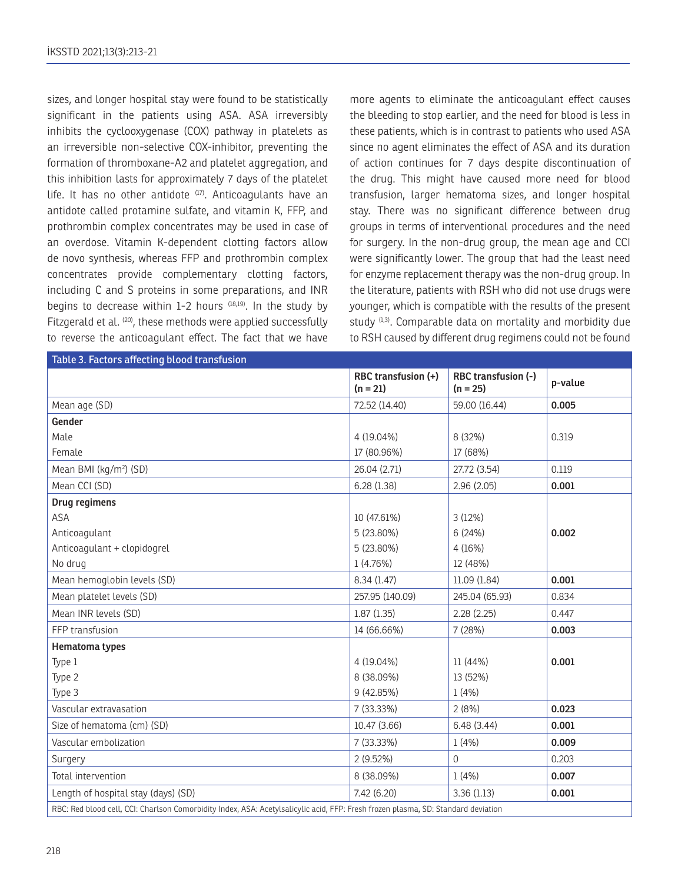sizes, and longer hospital stay were found to be statistically significant in the patients using ASA. ASA irreversibly inhibits the cyclooxygenase (COX) pathway in platelets as an irreversible non-selective COX-inhibitor, preventing the formation of thromboxane-A2 and platelet aggregation, and this inhibition lasts for approximately 7 days of the platelet life. It has no other antidote  $(17)$ . Anticoagulants have an antidote called protamine sulfate, and vitamin K, FFP, and prothrombin complex concentrates may be used in case of an overdose. Vitamin K-dependent clotting factors allow de novo synthesis, whereas FFP and prothrombin complex concentrates provide complementary clotting factors, including C and S proteins in some preparations, and INR begins to decrease within  $1-2$  hours  $(18,19)$ . In the study by Fitzgerald et al. <sup>(20)</sup>, these methods were applied successfully to reverse the anticoagulant effect. The fact that we have

more agents to eliminate the anticoagulant effect causes the bleeding to stop earlier, and the need for blood is less in these patients, which is in contrast to patients who used ASA since no agent eliminates the effect of ASA and its duration of action continues for 7 days despite discontinuation of the drug. This might have caused more need for blood transfusion, larger hematoma sizes, and longer hospital stay. There was no significant difference between drug groups in terms of interventional procedures and the need for surgery. In the non-drug group, the mean age and CCI were significantly lower. The group that had the least need for enzyme replacement therapy was the non-drug group. In the literature, patients with RSH who did not use drugs were younger, which is compatible with the results of the present study  $(1,3)$ . Comparable data on mortality and morbidity due to RSH caused by different drug regimens could not be found

| Table 3. Factors affecting blood transfusion                                                                                      |                                   |                                   |         |  |  |
|-----------------------------------------------------------------------------------------------------------------------------------|-----------------------------------|-----------------------------------|---------|--|--|
|                                                                                                                                   | RBC transfusion (+)<br>$(n = 21)$ | RBC transfusion (-)<br>$(n = 25)$ | p-value |  |  |
| Mean age (SD)                                                                                                                     | 72.52 (14.40)                     | 59.00 (16.44)                     | 0.005   |  |  |
| Gender                                                                                                                            |                                   |                                   |         |  |  |
| Male                                                                                                                              | 4 (19.04%)                        | 8 (32%)                           | 0.319   |  |  |
| Female                                                                                                                            | 17 (80.96%)                       | 17 (68%)                          |         |  |  |
| Mean BMI (kg/m <sup>2</sup> ) (SD)                                                                                                | 26.04 (2.71)                      | 27.72 (3.54)                      | 0.119   |  |  |
| Mean CCI (SD)                                                                                                                     | 6.28(1.38)                        | 2.96(2.05)                        | 0.001   |  |  |
| Drug regimens                                                                                                                     |                                   |                                   |         |  |  |
| <b>ASA</b>                                                                                                                        | 10 (47.61%)                       | 3(12%)                            |         |  |  |
| Anticoagulant                                                                                                                     | 5 (23.80%)                        | 6 (24%)                           | 0.002   |  |  |
| Anticoagulant + clopidogrel                                                                                                       | 5 (23.80%)                        | 4(16%)                            |         |  |  |
| No drug                                                                                                                           | 1(4.76%)                          | 12 (48%)                          |         |  |  |
| Mean hemoglobin levels (SD)                                                                                                       | 8.34(1.47)                        | 11.09(1.84)                       | 0.001   |  |  |
| Mean platelet levels (SD)                                                                                                         | 257.95 (140.09)                   | 245.04 (65.93)                    | 0.834   |  |  |
| Mean INR levels (SD)                                                                                                              | 1.87(1.35)                        | 2.28(2.25)                        | 0.447   |  |  |
| FFP transfusion                                                                                                                   | 14 (66.66%)                       | 7 (28%)                           | 0.003   |  |  |
| Hematoma types                                                                                                                    |                                   |                                   |         |  |  |
| Type 1                                                                                                                            | 4 (19.04%)                        | 11 (44%)                          | 0.001   |  |  |
| Type 2                                                                                                                            | 8 (38.09%)                        | 13 (52%)                          |         |  |  |
| Type 3                                                                                                                            | 9 (42.85%)                        | 1(4%)                             |         |  |  |
| Vascular extravasation                                                                                                            | 7 (33.33%)                        | 2(8%)                             | 0.023   |  |  |
| Size of hematoma (cm) (SD)                                                                                                        | 10.47 (3.66)                      | 6.48(3.44)                        | 0.001   |  |  |
| Vascular embolization                                                                                                             | 7 (33.33%)                        | 1(4%)                             | 0.009   |  |  |
| Surgery                                                                                                                           | 2(9.52%)                          | 0                                 | 0.203   |  |  |
| Total intervention                                                                                                                | 8 (38.09%)                        | 1(4%)                             | 0.007   |  |  |
| Length of hospital stay (days) (SD)                                                                                               | 7.42(6.20)                        | 3.36(1.13)                        | 0.001   |  |  |
| RBC: Red blood cell, CCI: Charlson Comorbidity Index, ASA: Acetylsalicylic acid, FFP: Fresh frozen plasma, SD: Standard deviation |                                   |                                   |         |  |  |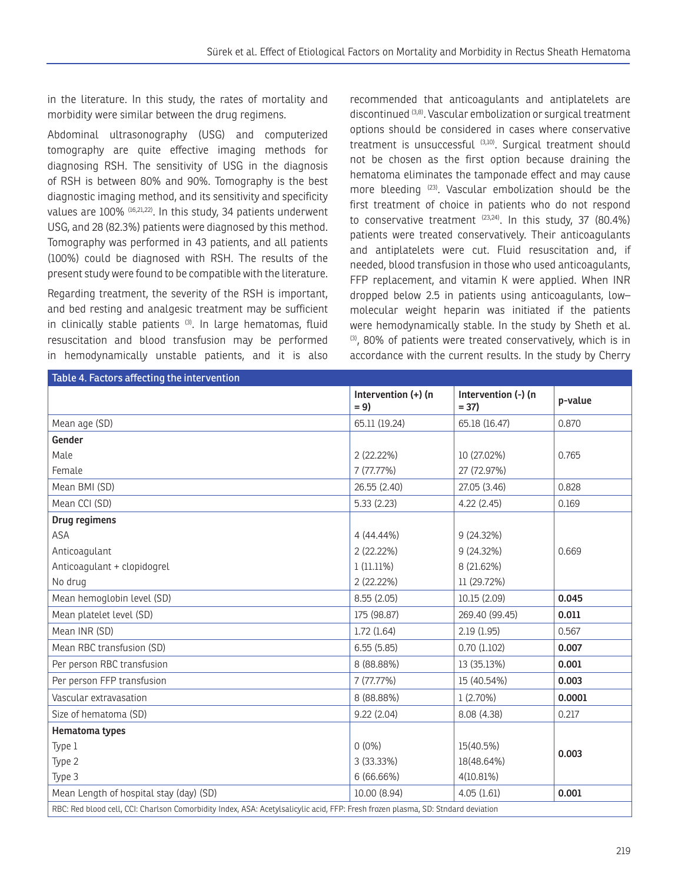in the literature. In this study, the rates of mortality and morbidity were similar between the drug regimens.

Abdominal ultrasonography (USG) and computerized tomography are quite effective imaging methods for diagnosing RSH. The sensitivity of USG in the diagnosis of RSH is between 80% and 90%. Tomography is the best diagnostic imaging method, and its sensitivity and specificity values are 100% (16,21,22). In this study, 34 patients underwent USG, and 28 (82.3%) patients were diagnosed by this method. Tomography was performed in 43 patients, and all patients (100%) could be diagnosed with RSH. The results of the present study were found to be compatible with the literature.

Regarding treatment, the severity of the RSH is important, and bed resting and analgesic treatment may be sufficient in clinically stable patients<sup>(3)</sup>. In large hematomas, fluid resuscitation and blood transfusion may be performed in hemodynamically unstable patients, and it is also

recommended that anticoagulants and antiplatelets are discontinued (3,8). Vascular embolization or surgical treatment options should be considered in cases where conservative treatment is unsuccessful (3,10). Surgical treatment should not be chosen as the first option because draining the hematoma eliminates the tamponade effect and may cause more bleeding (23). Vascular embolization should be the first treatment of choice in patients who do not respond to conservative treatment  $(23,24)$ . In this study, 37 (80.4%) patients were treated conservatively. Their anticoagulants and antiplatelets were cut. Fluid resuscitation and, if needed, blood transfusion in those who used anticoagulants, FFP replacement, and vitamin K were applied. When INR dropped below 2.5 in patients using anticoagulants, low– molecular weight heparin was initiated if the patients were hemodynamically stable. In the study by Sheth et al. (3), 80% of patients were treated conservatively, which is in accordance with the current results. In the study by Cherry

| Table 4. Factors affecting the intervention                                                                                      |                              |                               |         |  |  |
|----------------------------------------------------------------------------------------------------------------------------------|------------------------------|-------------------------------|---------|--|--|
|                                                                                                                                  | Intervention (+) (n<br>$= 9$ | Intervention (-) (n<br>$= 37$ | p-value |  |  |
| Mean age (SD)                                                                                                                    | 65.11 (19.24)                | 65.18 (16.47)                 | 0.870   |  |  |
| Gender                                                                                                                           |                              |                               |         |  |  |
| Male                                                                                                                             | 2(22.22%)                    | 10 (27.02%)                   | 0.765   |  |  |
| Female                                                                                                                           | 7(77.77%)                    | 27 (72.97%)                   |         |  |  |
| Mean BMI (SD)                                                                                                                    | 26.55 (2.40)                 | 27.05 (3.46)                  | 0.828   |  |  |
| Mean CCI (SD)                                                                                                                    | 5.33(2.23)                   | 4.22(2.45)                    | 0.169   |  |  |
| Drug regimens                                                                                                                    |                              |                               |         |  |  |
| ASA                                                                                                                              | 4 (44.44%)                   | 9(24.32%)                     |         |  |  |
| Anticoagulant                                                                                                                    | 2 (22.22%)                   | $9(24.32\%)$                  | 0.669   |  |  |
| Anticoagulant + clopidogrel                                                                                                      | 1(11.11%)                    | 8 (21.62%)                    |         |  |  |
| No drug                                                                                                                          | 2 (22.22%)                   | 11 (29.72%)                   |         |  |  |
| Mean hemoglobin level (SD)                                                                                                       | 8.55(2.05)                   | 10.15 (2.09)                  | 0.045   |  |  |
| Mean platelet level (SD)                                                                                                         | 175 (98.87)                  | 269.40 (99.45)                | 0.011   |  |  |
| Mean INR (SD)                                                                                                                    | 1.72(1.64)                   | 2.19(1.95)                    | 0.567   |  |  |
| Mean RBC transfusion (SD)                                                                                                        | 6.55(5.85)                   | 0.70(1.102)                   | 0.007   |  |  |
| Per person RBC transfusion                                                                                                       | 8 (88.88%)                   | 13 (35.13%)                   | 0.001   |  |  |
| Per person FFP transfusion                                                                                                       | 7 (77.77%)                   | 15 (40.54%)                   | 0.003   |  |  |
| Vascular extravasation                                                                                                           | 8 (88.88%)                   | $1(2.70\%)$                   | 0.0001  |  |  |
| Size of hematoma (SD)                                                                                                            | 9.22(2.04)                   | 8.08 (4.38)                   | 0.217   |  |  |
| Hematoma types                                                                                                                   |                              |                               |         |  |  |
| Type 1                                                                                                                           | $0(0\%)$                     | 15(40.5%)                     |         |  |  |
| Type 2                                                                                                                           | 3 (33.33%)                   | 18(48.64%)                    | 0.003   |  |  |
| Type 3                                                                                                                           | 6 (66.66%)                   | 4(10.81%)                     |         |  |  |
| Mean Length of hospital stay (day) (SD)                                                                                          | 10.00 (8.94)                 | 4.05(1.61)                    | 0.001   |  |  |
| RBC: Red blood cell, CCI: Charlson Comorbidity Index, ASA: Acetylsalicylic acid, FFP: Fresh frozen plasma, SD: Stndard deviation |                              |                               |         |  |  |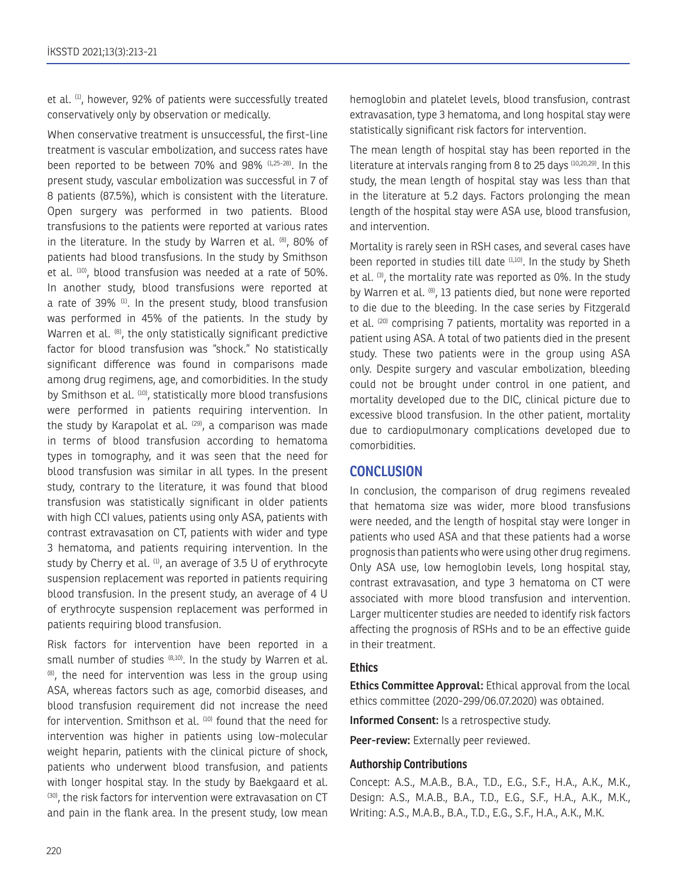et al. <sup>(1)</sup>, however, 92% of patients were successfully treated conservatively only by observation or medically.

When conservative treatment is unsuccessful, the first-line treatment is vascular embolization, and success rates have been reported to be between 70% and 98% (1,25-28). In the present study, vascular embolization was successful in 7 of 8 patients (87.5%), which is consistent with the literature. Open surgery was performed in two patients. Blood transfusions to the patients were reported at various rates in the literature. In the study by Warren et al.  $(8)$ , 80% of patients had blood transfusions. In the study by Smithson et al. (10), blood transfusion was needed at a rate of 50%. In another study, blood transfusions were reported at a rate of 39% (1). In the present study, blood transfusion was performed in 45% of the patients. In the study by Warren et al. <sup>(8)</sup>, the only statistically significant predictive factor for blood transfusion was "shock." No statistically significant difference was found in comparisons made among drug regimens, age, and comorbidities. In the study by Smithson et al. (10), statistically more blood transfusions were performed in patients requiring intervention. In the study by Karapolat et al. <sup>(29)</sup>, a comparison was made in terms of blood transfusion according to hematoma types in tomography, and it was seen that the need for blood transfusion was similar in all types. In the present study, contrary to the literature, it was found that blood transfusion was statistically significant in older patients with high CCI values, patients using only ASA, patients with contrast extravasation on CT, patients with wider and type 3 hematoma, and patients requiring intervention. In the study by Cherry et al.  $(1)$ , an average of 3.5 U of erythrocyte suspension replacement was reported in patients requiring blood transfusion. In the present study, an average of 4 U of erythrocyte suspension replacement was performed in patients requiring blood transfusion.

Risk factors for intervention have been reported in a small number of studies  $(8,10)$ . In the study by Warren et al.  $<sup>(8)</sup>$ , the need for intervention was less in the group using</sup> ASA, whereas factors such as age, comorbid diseases, and blood transfusion requirement did not increase the need for intervention. Smithson et al. (10) found that the need for intervention was higher in patients using low-molecular weight heparin, patients with the clinical picture of shock, patients who underwent blood transfusion, and patients with longer hospital stay. In the study by Baekgaard et al. (30), the risk factors for intervention were extravasation on CT and pain in the flank area. In the present study, low mean

hemoglobin and platelet levels, blood transfusion, contrast extravasation, type 3 hematoma, and long hospital stay were statistically significant risk factors for intervention.

The mean length of hospital stay has been reported in the literature at intervals ranging from 8 to 25 days (10,20,29). In this study, the mean length of hospital stay was less than that in the literature at 5.2 days. Factors prolonging the mean length of the hospital stay were ASA use, blood transfusion, and intervention.

Mortality is rarely seen in RSH cases, and several cases have been reported in studies till date (1,10). In the study by Sheth et al. <sup>(3)</sup>, the mortality rate was reported as 0%. In the study by Warren et al. <sup>(8)</sup>, 13 patients died, but none were reported to die due to the bleeding. In the case series by Fitzgerald et al. (20) comprising 7 patients, mortality was reported in a patient using ASA. A total of two patients died in the present study. These two patients were in the group using ASA only. Despite surgery and vascular embolization, bleeding could not be brought under control in one patient, and mortality developed due to the DIC, clinical picture due to excessive blood transfusion. In the other patient, mortality due to cardiopulmonary complications developed due to comorbidities.

#### **CONCLUSION**

In conclusion, the comparison of drug regimens revealed that hematoma size was wider, more blood transfusions were needed, and the length of hospital stay were longer in patients who used ASA and that these patients had a worse prognosis than patients who were using other drug regimens. Only ASA use, low hemoglobin levels, long hospital stay, contrast extravasation, and type 3 hematoma on CT were associated with more blood transfusion and intervention. Larger multicenter studies are needed to identify risk factors affecting the prognosis of RSHs and to be an effective guide in their treatment.

#### **Ethics**

**Ethics Committee Approval:** Ethical approval from the local ethics committee (2020-299/06.07.2020) was obtained.

**Informed Consent:** Is a retrospective study.

**Peer-review:** Externally peer reviewed.

#### **Authorship Contributions**

Concept: A.S., M.A.B., B.A., T.D., E.G., S.F., H.A., A.K., M.K., Design: A.S., M.A.B., B.A., T.D., E.G., S.F., H.A., A.K., M.K., Writing: A.S., M.A.B., B.A., T.D., E.G., S.F., H.A., A.K., M.K.